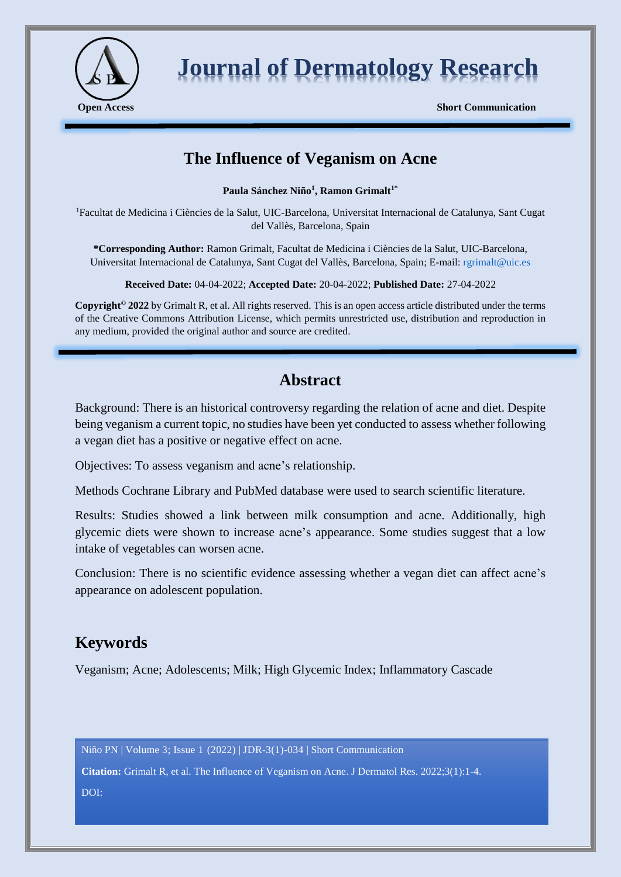

# **Journal of Dermatology Research**

**Open Access** Short Communication

# **The Influence of Veganism on Acne**

**Paula Sánchez Niño<sup>1</sup> , Ramon Grimalt1\***

<sup>1</sup>Facultat de Medicina i Ciències de la Salut, UIC-Barcelona, Universitat Internacional de Catalunya, Sant Cugat del Vallès, Barcelona, Spain

**\*Corresponding Author:** Ramon Grimalt, Facultat de Medicina i Ciències de la Salut, UIC-Barcelona, Universitat Internacional de Catalunya, Sant Cugat del Vallès, Barcelona, Spain; E-mail: [rgrimalt@uic.es](mailto:rgrimalt@uic.es)

**Received Date:** 04-04-2022; **Accepted Date:** 20-04-2022; **Published Date:** 27-04-2022

**Copyright© 2022** by Grimalt R, et al. All rights reserved. This is an open access article distributed under the terms of the Creative Commons Attribution License, which permits unrestricted use, distribution and reproduction in any medium, provided the original author and source are credited.

# **Abstract**

Background: There is an historical controversy regarding the relation of acne and diet. Despite being veganism a current topic, no studies have been yet conducted to assess whether following a vegan diet has a positive or negative effect on acne.

Objectives: To assess veganism and acne's relationship.

Methods Cochrane Library and PubMed database were used to search scientific literature.

Results: Studies showed a link between milk consumption and acne. Additionally, high glycemic diets were shown to increase acne's appearance. Some studies suggest that a low intake of vegetables can worsen acne.

Conclusion: There is no scientific evidence assessing whether a vegan diet can affect acne's appearance on adolescent population.

# **Keywords**

Veganism; Acne; Adolescents; Milk; High Glycemic Index; Inflammatory Cascade

Niño PN | Volume 3; Issue 1 (2022) | JDR-3(1)-034 | Short Communication

**Citation:** Grimalt R, et al. The Influence of Veganism on Acne. J Dermatol Res. 2022;3(1):1-4.

DOI: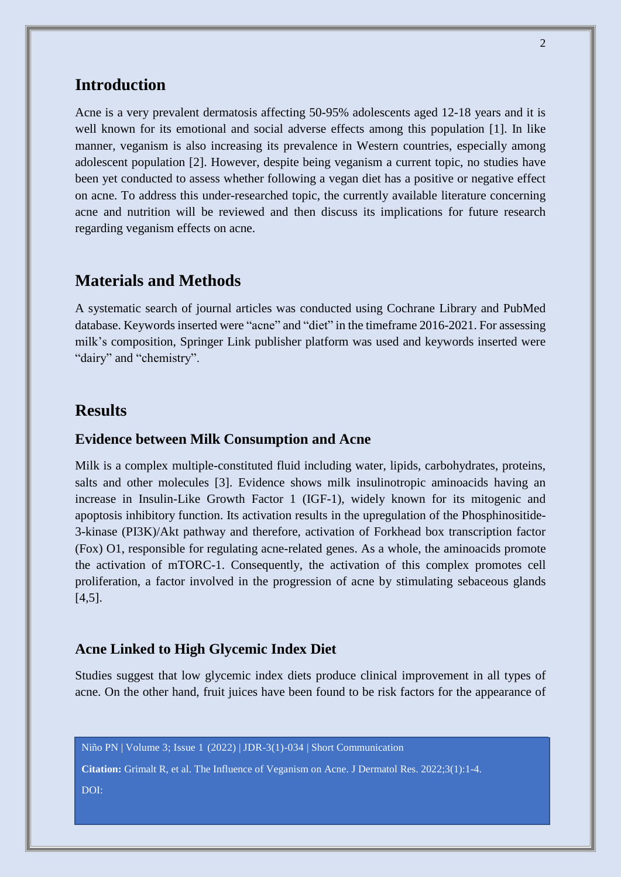## **Introduction**

Acne is a very prevalent dermatosis affecting 50-95% adolescents aged 12-18 years and it is well known for its emotional and social adverse effects among this population [1]. In like manner, veganism is also increasing its prevalence in Western countries, especially among adolescent population [2]. However, despite being veganism a current topic, no studies have been yet conducted to assess whether following a vegan diet has a positive or negative effect on acne. To address this under-researched topic, the currently available literature concerning acne and nutrition will be reviewed and then discuss its implications for future research regarding veganism effects on acne.

## **Materials and Methods**

A systematic search of journal articles was conducted using Cochrane Library and PubMed database. Keywords inserted were "acne" and "diet" in the timeframe 2016-2021. For assessing milk's composition, Springer Link publisher platform was used and keywords inserted were "dairy" and "chemistry".

# **Results**

#### **Evidence between Milk Consumption and Acne**

Milk is a complex multiple-constituted fluid including water, lipids, carbohydrates, proteins, salts and other molecules [3]. Evidence shows milk insulinotropic aminoacids having an increase in Insulin-Like Growth Factor 1 (IGF-1), widely known for its mitogenic and apoptosis inhibitory function. Its activation results in the upregulation of the Phosphinositide-3-kinase (PI3K)/Akt pathway and therefore, activation of Forkhead box transcription factor (Fox) O1, responsible for regulating acne-related genes. As a whole, the aminoacids promote the activation of mTORC-1. Consequently, the activation of this complex promotes cell proliferation, a factor involved in the progression of acne by stimulating sebaceous glands [4,5].

#### **Acne Linked to High Glycemic Index Diet**

Studies suggest that low glycemic index diets produce clinical improvement in all types of acne. On the other hand, fruit juices have been found to be risk factors for the appearance of

Niño PN | Volume 3; Issue 1 (2022) | JDR-3(1)-034 | Short Communication

**Citation:** Grimalt R, et al. The Influence of Veganism on Acne. J Dermatol Res. 2022;3(1):1-4. DOI: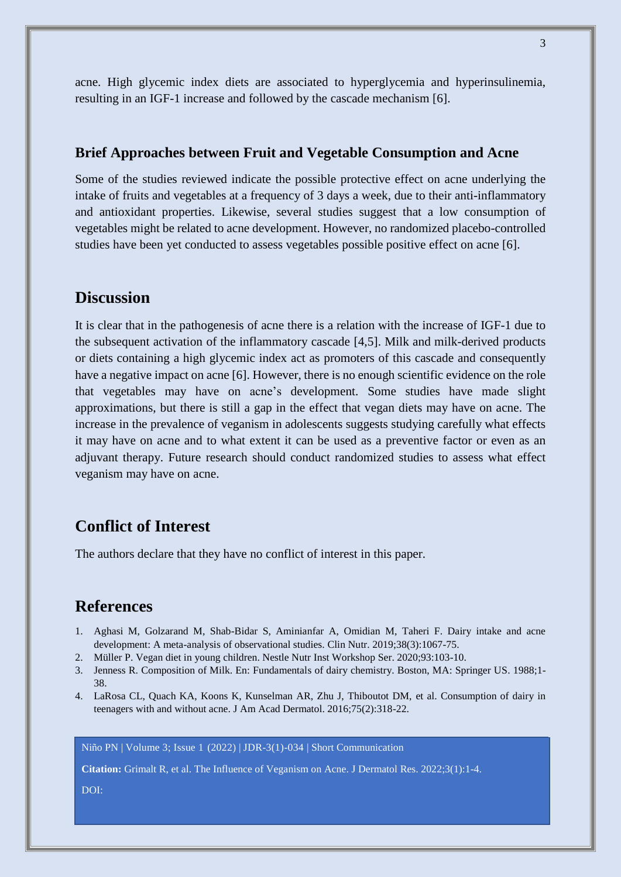acne. High glycemic index diets are associated to hyperglycemia and hyperinsulinemia, resulting in an IGF-1 increase and followed by the cascade mechanism [6].

#### **Brief Approaches between Fruit and Vegetable Consumption and Acne**

Some of the studies reviewed indicate the possible protective effect on acne underlying the intake of fruits and vegetables at a frequency of 3 days a week, due to their anti-inflammatory and antioxidant properties. Likewise, several studies suggest that a low consumption of vegetables might be related to acne development. However, no randomized placebo-controlled studies have been yet conducted to assess vegetables possible positive effect on acne [6].

### **Discussion**

It is clear that in the pathogenesis of acne there is a relation with the increase of IGF-1 due to the subsequent activation of the inflammatory cascade [4,5]. Milk and milk-derived products or diets containing a high glycemic index act as promoters of this cascade and consequently have a negative impact on acne [6]. However, there is no enough scientific evidence on the role that vegetables may have on acne's development. Some studies have made slight approximations, but there is still a gap in the effect that vegan diets may have on acne. The increase in the prevalence of veganism in adolescents suggests studying carefully what effects it may have on acne and to what extent it can be used as a preventive factor or even as an adjuvant therapy. Future research should conduct randomized studies to assess what effect veganism may have on acne.

# **Conflict of Interest**

The authors declare that they have no conflict of interest in this paper.

### **References**

- 1. Aghasi M, Golzarand M, Shab-Bidar S, Aminianfar A, Omidian M, Taheri F. Dairy intake and acne development: A meta-analysis of observational studies. Clin Nutr. 2019;38(3):1067-75.
- 2. Müller P. Vegan diet in young children. Nestle Nutr Inst Workshop Ser. 2020;93:103-10.
- 3. Jenness R. Composition of Milk. En: Fundamentals of dairy chemistry. Boston, MA: Springer US. 1988;1- 38.
- 4. LaRosa CL, Quach KA, Koons K, Kunselman AR, Zhu J, Thiboutot DM, et al. Consumption of dairy in teenagers with and without acne. J Am Acad Dermatol. 2016;75(2):318-22.

Niño PN | Volume 3; Issue 1 (2022) | JDR-3(1)-034 | Short Communication

**Citation:** Grimalt R, et al. The Influence of Veganism on Acne. J Dermatol Res. 2022;3(1):1-4.

DOI: